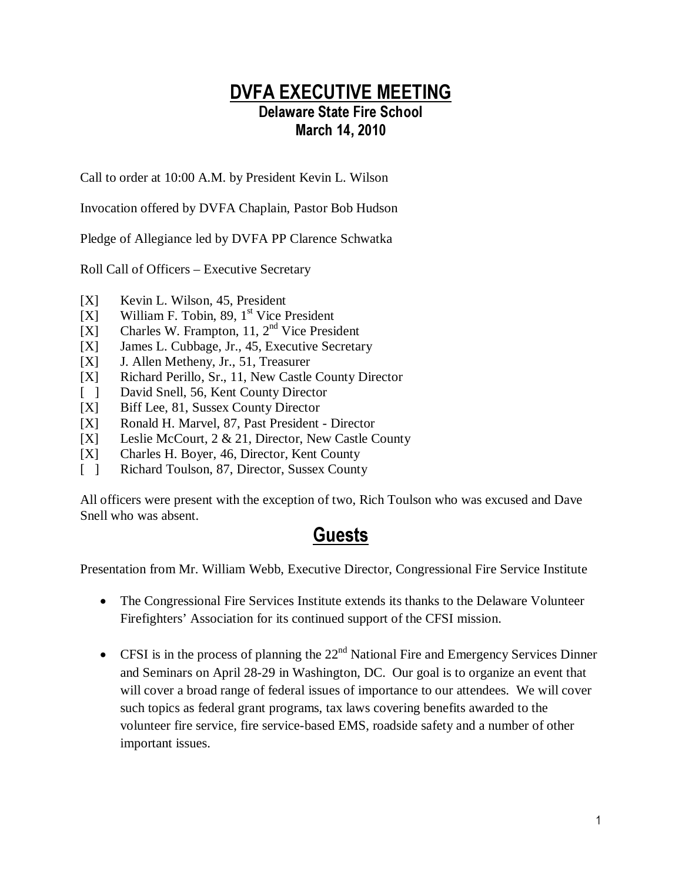### DVFA EXECUTIVE MEETING Delaware State Fire School March 14, 2010

Call to order at 10:00 A.M. by President Kevin L. Wilson

Invocation offered by DVFA Chaplain, Pastor Bob Hudson

Pledge of Allegiance led by DVFA PP Clarence Schwatka

Roll Call of Officers – Executive Secretary

- [X] Kevin L. Wilson, 45, President
- $[X]$  William F. Tobin, 89, 1<sup>st</sup> Vice President
- [X] Charles W. Frampton, 11,  $2<sup>nd</sup>$  Vice President
- [X] James L. Cubbage, Jr., 45, Executive Secretary
- [X] J. Allen Metheny, Jr., 51, Treasurer
- [X] Richard Perillo, Sr., 11, New Castle County Director
- [ ] David Snell, 56, Kent County Director
- [X] Biff Lee, 81, Sussex County Director
- [X] Ronald H. Marvel, 87, Past President Director
- [X] Leslie McCourt, 2 & 21, Director, New Castle County
- [X] Charles H. Boyer, 46, Director, Kent County
- [ ] Richard Toulson, 87, Director, Sussex County

All officers were present with the exception of two, Rich Toulson who was excused and Dave Snell who was absent.

# Guests

Presentation from Mr. William Webb, Executive Director, Congressional Fire Service Institute

- The Congressional Fire Services Institute extends its thanks to the Delaware Volunteer Firefighters' Association for its continued support of the CFSI mission.
- CFSI is in the process of planning the  $22<sup>nd</sup>$  National Fire and Emergency Services Dinner and Seminars on April 28-29 in Washington, DC. Our goal is to organize an event that will cover a broad range of federal issues of importance to our attendees. We will cover such topics as federal grant programs, tax laws covering benefits awarded to the volunteer fire service, fire service-based EMS, roadside safety and a number of other important issues.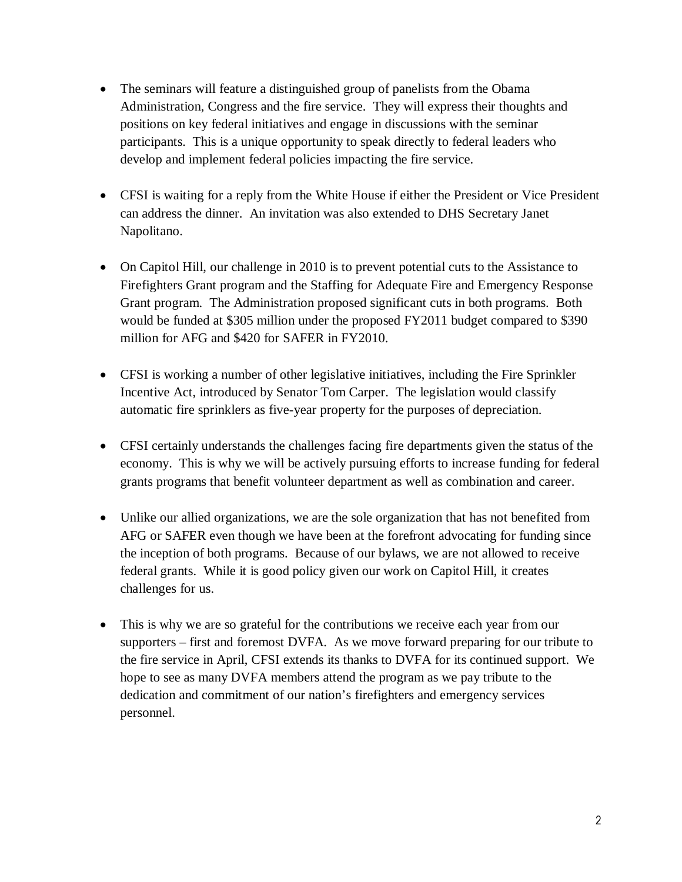- The seminars will feature a distinguished group of panelists from the Obama Administration, Congress and the fire service. They will express their thoughts and positions on key federal initiatives and engage in discussions with the seminar participants. This is a unique opportunity to speak directly to federal leaders who develop and implement federal policies impacting the fire service.
- CFSI is waiting for a reply from the White House if either the President or Vice President can address the dinner. An invitation was also extended to DHS Secretary Janet Napolitano.
- On Capitol Hill, our challenge in 2010 is to prevent potential cuts to the Assistance to Firefighters Grant program and the Staffing for Adequate Fire and Emergency Response Grant program. The Administration proposed significant cuts in both programs. Both would be funded at \$305 million under the proposed FY2011 budget compared to \$390 million for AFG and \$420 for SAFER in FY2010.
- CFSI is working a number of other legislative initiatives, including the Fire Sprinkler Incentive Act, introduced by Senator Tom Carper. The legislation would classify automatic fire sprinklers as five-year property for the purposes of depreciation.
- CFSI certainly understands the challenges facing fire departments given the status of the economy. This is why we will be actively pursuing efforts to increase funding for federal grants programs that benefit volunteer department as well as combination and career.
- Unlike our allied organizations, we are the sole organization that has not benefited from AFG or SAFER even though we have been at the forefront advocating for funding since the inception of both programs. Because of our bylaws, we are not allowed to receive federal grants. While it is good policy given our work on Capitol Hill, it creates challenges for us.
- This is why we are so grateful for the contributions we receive each year from our supporters – first and foremost DVFA. As we move forward preparing for our tribute to the fire service in April, CFSI extends its thanks to DVFA for its continued support. We hope to see as many DVFA members attend the program as we pay tribute to the dedication and commitment of our nation's firefighters and emergency services personnel.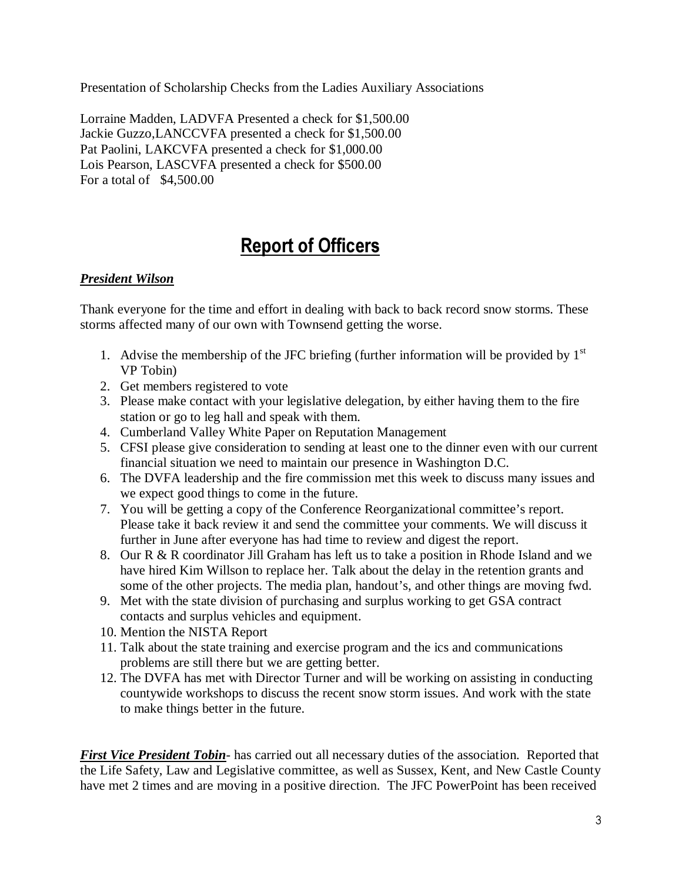Presentation of Scholarship Checks from the Ladies Auxiliary Associations

Lorraine Madden, LADVFA Presented a check for \$1,500.00 Jackie Guzzo,LANCCVFA presented a check for \$1,500.00 Pat Paolini, LAKCVFA presented a check for \$1,000.00 Lois Pearson, LASCVFA presented a check for \$500.00 For a total of \$4,500.00

# Report of Officers

#### *President Wilson*

Thank everyone for the time and effort in dealing with back to back record snow storms. These storms affected many of our own with Townsend getting the worse.

- 1. Advise the membership of the JFC briefing (further information will be provided by  $1<sup>st</sup>$ VP Tobin)
- 2. Get members registered to vote
- 3. Please make contact with your legislative delegation, by either having them to the fire station or go to leg hall and speak with them.
- 4. Cumberland Valley White Paper on Reputation Management
- 5. CFSI please give consideration to sending at least one to the dinner even with our current financial situation we need to maintain our presence in Washington D.C.
- 6. The DVFA leadership and the fire commission met this week to discuss many issues and we expect good things to come in the future.
- 7. You will be getting a copy of the Conference Reorganizational committee's report. Please take it back review it and send the committee your comments. We will discuss it further in June after everyone has had time to review and digest the report.
- 8. Our R & R coordinator Jill Graham has left us to take a position in Rhode Island and we have hired Kim Willson to replace her. Talk about the delay in the retention grants and some of the other projects. The media plan, handout's, and other things are moving fwd.
- 9. Met with the state division of purchasing and surplus working to get GSA contract contacts and surplus vehicles and equipment.
- 10. Mention the NISTA Report
- 11. Talk about the state training and exercise program and the ics and communications problems are still there but we are getting better.
- 12. The DVFA has met with Director Turner and will be working on assisting in conducting countywide workshops to discuss the recent snow storm issues. And work with the state to make things better in the future.

*First Vice President Tobin*- has carried out all necessary duties of the association. Reported that the Life Safety, Law and Legislative committee, as well as Sussex, Kent, and New Castle County have met 2 times and are moving in a positive direction. The JFC PowerPoint has been received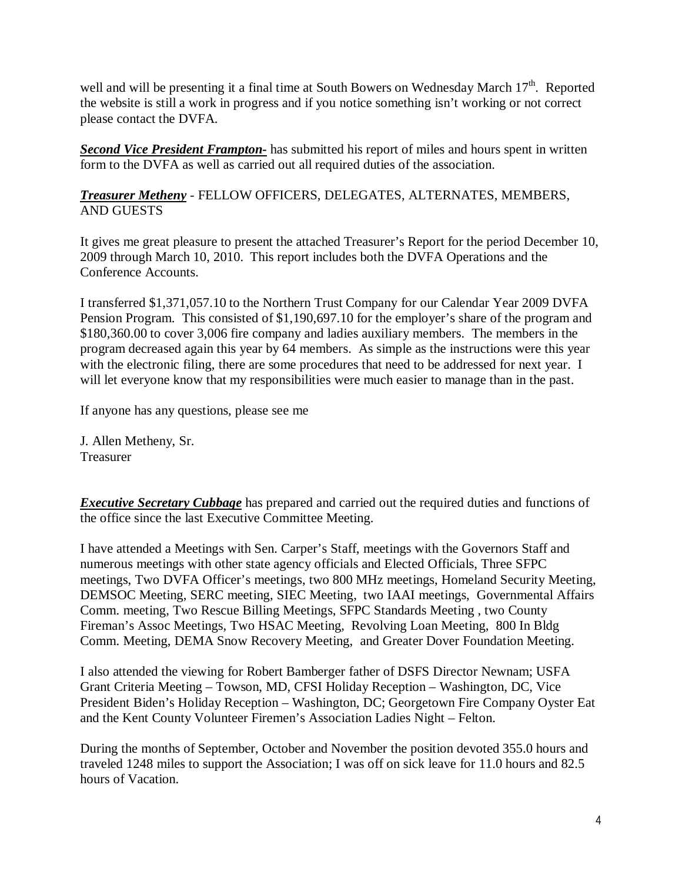well and will be presenting it a final time at South Bowers on Wednesday March 17<sup>th</sup>. Reported the website is still a work in progress and if you notice something isn't working or not correct please contact the DVFA.

*Second Vice President Frampton-* has submitted his report of miles and hours spent in written form to the DVFA as well as carried out all required duties of the association.

*Treasurer Metheny* - FELLOW OFFICERS, DELEGATES, ALTERNATES, MEMBERS, AND GUESTS

It gives me great pleasure to present the attached Treasurer's Report for the period December 10, 2009 through March 10, 2010. This report includes both the DVFA Operations and the Conference Accounts.

I transferred \$1,371,057.10 to the Northern Trust Company for our Calendar Year 2009 DVFA Pension Program. This consisted of \$1,190,697.10 for the employer's share of the program and \$180,360.00 to cover 3,006 fire company and ladies auxiliary members. The members in the program decreased again this year by 64 members. As simple as the instructions were this year with the electronic filing, there are some procedures that need to be addressed for next year. I will let everyone know that my responsibilities were much easier to manage than in the past.

If anyone has any questions, please see me

J. Allen Metheny, Sr. Treasurer

*Executive Secretary Cubbage* has prepared and carried out the required duties and functions of the office since the last Executive Committee Meeting.

I have attended a Meetings with Sen. Carper's Staff, meetings with the Governors Staff and numerous meetings with other state agency officials and Elected Officials, Three SFPC meetings, Two DVFA Officer's meetings, two 800 MHz meetings, Homeland Security Meeting, DEMSOC Meeting, SERC meeting, SIEC Meeting, two IAAI meetings, Governmental Affairs Comm. meeting, Two Rescue Billing Meetings, SFPC Standards Meeting , two County Fireman's Assoc Meetings, Two HSAC Meeting, Revolving Loan Meeting, 800 In Bldg Comm. Meeting, DEMA Snow Recovery Meeting, and Greater Dover Foundation Meeting.

I also attended the viewing for Robert Bamberger father of DSFS Director Newnam; USFA Grant Criteria Meeting – Towson, MD, CFSI Holiday Reception – Washington, DC, Vice President Biden's Holiday Reception – Washington, DC; Georgetown Fire Company Oyster Eat and the Kent County Volunteer Firemen's Association Ladies Night – Felton.

During the months of September, October and November the position devoted 355.0 hours and traveled 1248 miles to support the Association; I was off on sick leave for 11.0 hours and 82.5 hours of Vacation.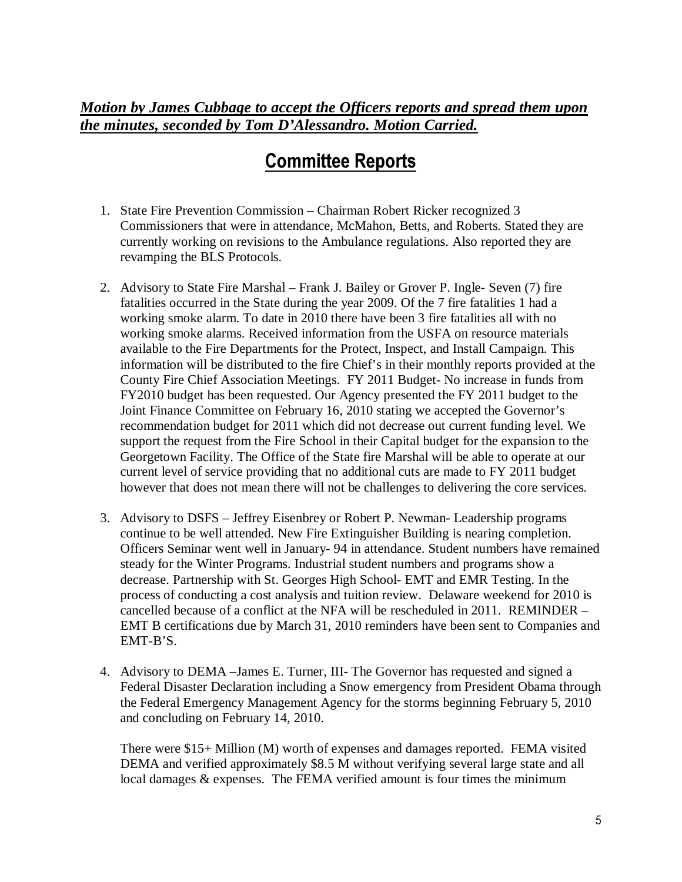### *Motion by James Cubbage to accept the Officers reports and spread them upon the minutes, seconded by Tom D'Alessandro. Motion Carried.*

### Committee Reports

- 1. State Fire Prevention Commission Chairman Robert Ricker recognized 3 Commissioners that were in attendance, McMahon, Betts, and Roberts. Stated they are currently working on revisions to the Ambulance regulations. Also reported they are revamping the BLS Protocols.
- 2. Advisory to State Fire Marshal Frank J. Bailey or Grover P. Ingle- Seven (7) fire fatalities occurred in the State during the year 2009. Of the 7 fire fatalities 1 had a working smoke alarm. To date in 2010 there have been 3 fire fatalities all with no working smoke alarms. Received information from the USFA on resource materials available to the Fire Departments for the Protect, Inspect, and Install Campaign. This information will be distributed to the fire Chief's in their monthly reports provided at the County Fire Chief Association Meetings. FY 2011 Budget- No increase in funds from FY2010 budget has been requested. Our Agency presented the FY 2011 budget to the Joint Finance Committee on February 16, 2010 stating we accepted the Governor's recommendation budget for 2011 which did not decrease out current funding level. We support the request from the Fire School in their Capital budget for the expansion to the Georgetown Facility. The Office of the State fire Marshal will be able to operate at our current level of service providing that no additional cuts are made to FY 2011 budget however that does not mean there will not be challenges to delivering the core services.
- 3. Advisory to DSFS Jeffrey Eisenbrey or Robert P. Newman- Leadership programs continue to be well attended. New Fire Extinguisher Building is nearing completion. Officers Seminar went well in January- 94 in attendance. Student numbers have remained steady for the Winter Programs. Industrial student numbers and programs show a decrease. Partnership with St. Georges High School- EMT and EMR Testing. In the process of conducting a cost analysis and tuition review. Delaware weekend for 2010 is cancelled because of a conflict at the NFA will be rescheduled in 2011. REMINDER – EMT B certifications due by March 31, 2010 reminders have been sent to Companies and EMT-B'S.
- 4. Advisory to DEMA –James E. Turner, III- The Governor has requested and signed a Federal Disaster Declaration including a Snow emergency from President Obama through the Federal Emergency Management Agency for the storms beginning February 5, 2010 and concluding on February 14, 2010.

There were \$15+ Million (M) worth of expenses and damages reported. FEMA visited DEMA and verified approximately \$8.5 M without verifying several large state and all local damages & expenses. The FEMA verified amount is four times the minimum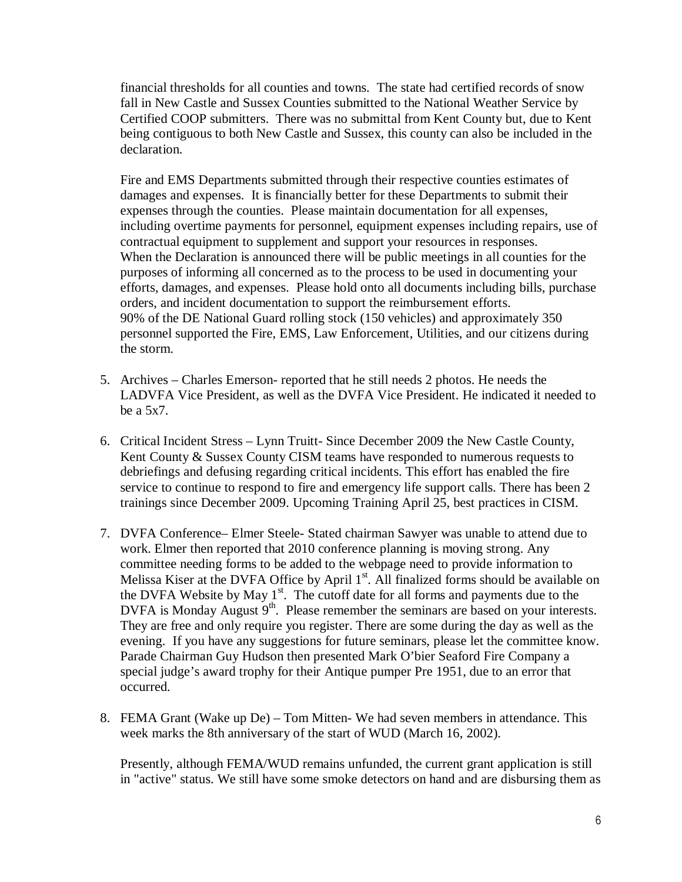financial thresholds for all counties and towns. The state had certified records of snow fall in New Castle and Sussex Counties submitted to the National Weather Service by Certified COOP submitters. There was no submittal from Kent County but, due to Kent being contiguous to both New Castle and Sussex, this county can also be included in the declaration.

Fire and EMS Departments submitted through their respective counties estimates of damages and expenses. It is financially better for these Departments to submit their expenses through the counties. Please maintain documentation for all expenses, including overtime payments for personnel, equipment expenses including repairs, use of contractual equipment to supplement and support your resources in responses. When the Declaration is announced there will be public meetings in all counties for the purposes of informing all concerned as to the process to be used in documenting your efforts, damages, and expenses. Please hold onto all documents including bills, purchase orders, and incident documentation to support the reimbursement efforts. 90% of the DE National Guard rolling stock (150 vehicles) and approximately 350 personnel supported the Fire, EMS, Law Enforcement, Utilities, and our citizens during the storm.

- 5. Archives Charles Emerson- reported that he still needs 2 photos. He needs the LADVFA Vice President, as well as the DVFA Vice President. He indicated it needed to be a 5x7.
- 6. Critical Incident Stress Lynn Truitt- Since December 2009 the New Castle County, Kent County & Sussex County CISM teams have responded to numerous requests to debriefings and defusing regarding critical incidents. This effort has enabled the fire service to continue to respond to fire and emergency life support calls. There has been 2 trainings since December 2009. Upcoming Training April 25, best practices in CISM.
- 7. DVFA Conference– Elmer Steele- Stated chairman Sawyer was unable to attend due to work. Elmer then reported that 2010 conference planning is moving strong. Any committee needing forms to be added to the webpage need to provide information to Melissa Kiser at the DVFA Office by April 1<sup>st</sup>. All finalized forms should be available on the DVFA Website by May  $1<sup>st</sup>$ . The cutoff date for all forms and payments due to the DVFA is Monday August 9<sup>th</sup>. Please remember the seminars are based on your interests. They are free and only require you register. There are some during the day as well as the evening. If you have any suggestions for future seminars, please let the committee know. Parade Chairman Guy Hudson then presented Mark O'bier Seaford Fire Company a special judge's award trophy for their Antique pumper Pre 1951, due to an error that occurred.
- 8. FEMA Grant (Wake up De) Tom Mitten- We had seven members in attendance. This week marks the 8th anniversary of the start of WUD (March 16, 2002).

Presently, although FEMA/WUD remains unfunded, the current grant application is still in "active" status. We still have some smoke detectors on hand and are disbursing them as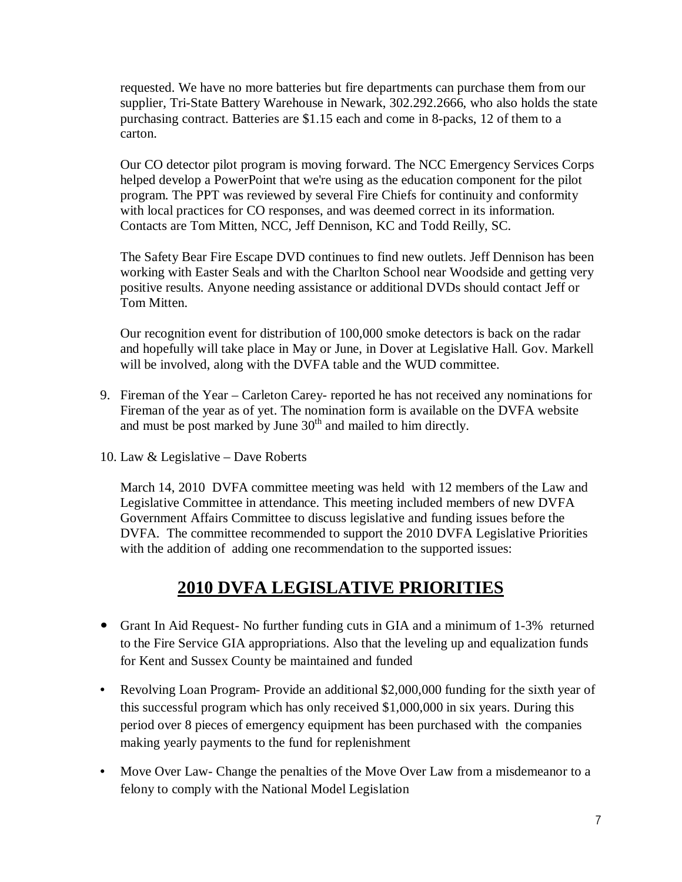requested. We have no more batteries but fire departments can purchase them from our supplier, Tri-State Battery Warehouse in Newark, 302.292.2666, who also holds the state purchasing contract. Batteries are \$1.15 each and come in 8-packs, 12 of them to a carton.

Our CO detector pilot program is moving forward. The NCC Emergency Services Corps helped develop a PowerPoint that we're using as the education component for the pilot program. The PPT was reviewed by several Fire Chiefs for continuity and conformity with local practices for CO responses, and was deemed correct in its information. Contacts are Tom Mitten, NCC, Jeff Dennison, KC and Todd Reilly, SC.

The Safety Bear Fire Escape DVD continues to find new outlets. Jeff Dennison has been working with Easter Seals and with the Charlton School near Woodside and getting very positive results. Anyone needing assistance or additional DVDs should contact Jeff or Tom Mitten.

Our recognition event for distribution of 100,000 smoke detectors is back on the radar and hopefully will take place in May or June, in Dover at Legislative Hall. Gov. Markell will be involved, along with the DVFA table and the WUD committee.

- 9. Fireman of the Year Carleton Carey- reported he has not received any nominations for Fireman of the year as of yet. The nomination form is available on the DVFA website and must be post marked by June  $30<sup>th</sup>$  and mailed to him directly.
- 10. Law & Legislative Dave Roberts

March 14, 2010 DVFA committee meeting was held with 12 members of the Law and Legislative Committee in attendance. This meeting included members of new DVFA Government Affairs Committee to discuss legislative and funding issues before the DVFA. The committee recommended to support the 2010 DVFA Legislative Priorities with the addition of adding one recommendation to the supported issues:

### **2010 DVFA LEGISLATIVE PRIORITIES**

- Grant In Aid Request- No further funding cuts in GIA and a minimum of 1-3% returned to the Fire Service GIA appropriations. Also that the leveling up and equalization funds for Kent and Sussex County be maintained and funded
- Revolving Loan Program-Provide an additional \$2,000,000 funding for the sixth year of this successful program which has only received \$1,000,000 in six years. During this period over 8 pieces of emergency equipment has been purchased with the companies making yearly payments to the fund for replenishment
- Move Over Law- Change the penalties of the Move Over Law from a misdemeanor to a felony to comply with the National Model Legislation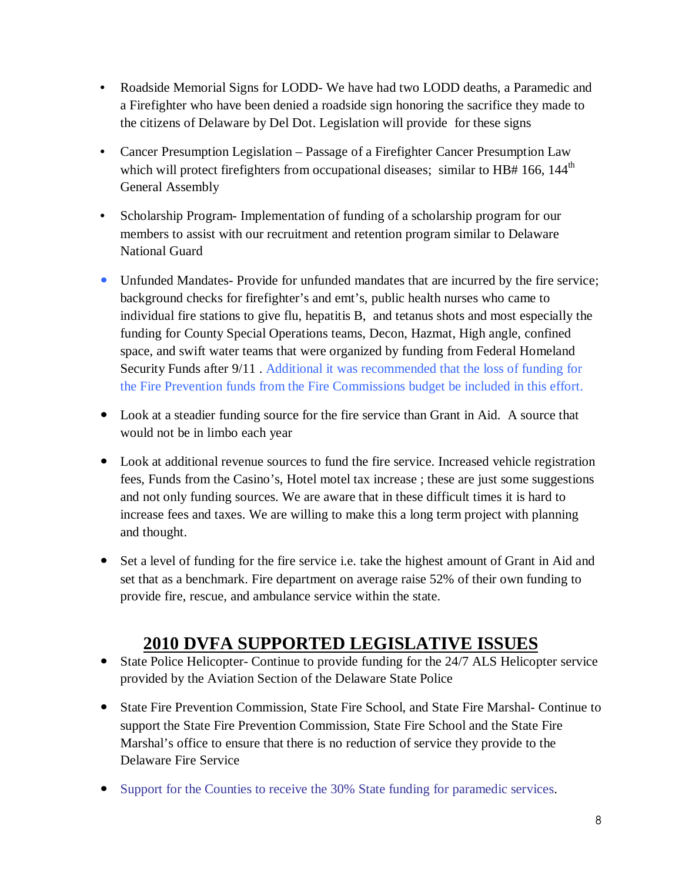- Roadside Memorial Signs for LODD- We have had two LODD deaths, a Paramedic and a Firefighter who have been denied a roadside sign honoring the sacrifice they made to the citizens of Delaware by Del Dot. Legislation will provide for these signs
- Cancer Presumption Legislation Passage of a Firefighter Cancer Presumption Law which will protect firefighters from occupational diseases; similar to HB# 166, 144<sup>th</sup> General Assembly
- Scholarship Program- Implementation of funding of a scholarship program for our members to assist with our recruitment and retention program similar to Delaware National Guard
- Unfunded Mandates- Provide for unfunded mandates that are incurred by the fire service; background checks for firefighter's and emt's, public health nurses who came to individual fire stations to give flu, hepatitis B, and tetanus shots and most especially the funding for County Special Operations teams, Decon, Hazmat, High angle, confined space, and swift water teams that were organized by funding from Federal Homeland Security Funds after 9/11 . Additional it was recommended that the loss of funding for the Fire Prevention funds from the Fire Commissions budget be included in this effort.
- Look at a steadier funding source for the fire service than Grant in Aid. A source that would not be in limbo each year
- Look at additional revenue sources to fund the fire service. Increased vehicle registration fees, Funds from the Casino's, Hotel motel tax increase ; these are just some suggestions and not only funding sources. We are aware that in these difficult times it is hard to increase fees and taxes. We are willing to make this a long term project with planning and thought.
- Set a level of funding for the fire service i.e. take the highest amount of Grant in Aid and set that as a benchmark. Fire department on average raise 52% of their own funding to provide fire, rescue, and ambulance service within the state.

### **2010 DVFA SUPPORTED LEGISLATIVE ISSUES**

- State Police Helicopter- Continue to provide funding for the 24/7 ALS Helicopter service provided by the Aviation Section of the Delaware State Police
- State Fire Prevention Commission, State Fire School, and State Fire Marshal- Continue to support the State Fire Prevention Commission, State Fire School and the State Fire Marshal's office to ensure that there is no reduction of service they provide to the Delaware Fire Service
- Support for the Counties to receive the 30% State funding for paramedic services.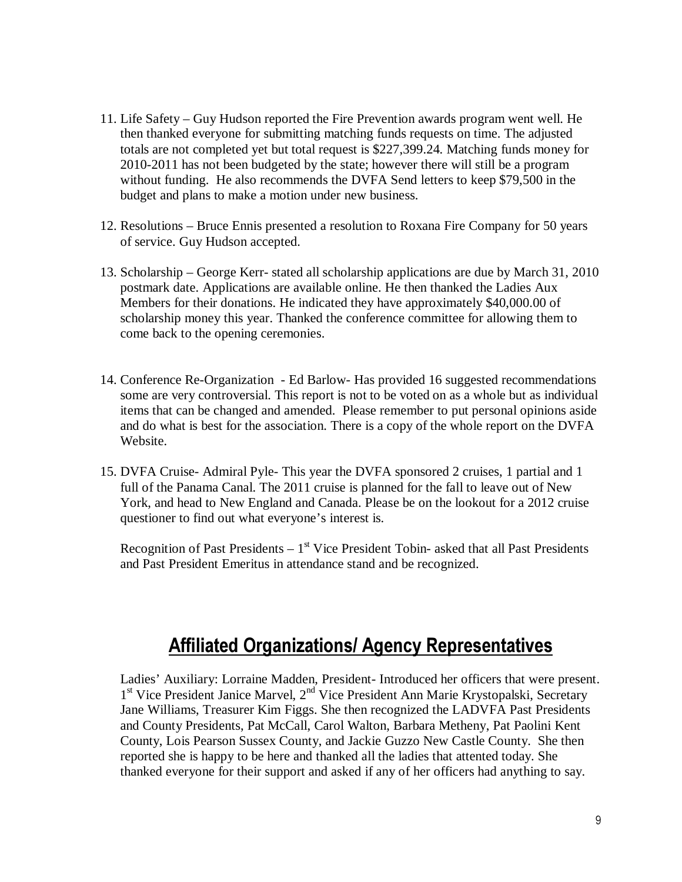- 11. Life Safety Guy Hudson reported the Fire Prevention awards program went well. He then thanked everyone for submitting matching funds requests on time. The adjusted totals are not completed yet but total request is \$227,399.24. Matching funds money for 2010-2011 has not been budgeted by the state; however there will still be a program without funding. He also recommends the DVFA Send letters to keep \$79,500 in the budget and plans to make a motion under new business.
- 12. Resolutions Bruce Ennis presented a resolution to Roxana Fire Company for 50 years of service. Guy Hudson accepted.
- 13. Scholarship George Kerr- stated all scholarship applications are due by March 31, 2010 postmark date. Applications are available online. He then thanked the Ladies Aux Members for their donations. He indicated they have approximately \$40,000.00 of scholarship money this year. Thanked the conference committee for allowing them to come back to the opening ceremonies.
- 14. Conference Re-Organization Ed Barlow- Has provided 16 suggested recommendations some are very controversial. This report is not to be voted on as a whole but as individual items that can be changed and amended. Please remember to put personal opinions aside and do what is best for the association. There is a copy of the whole report on the DVFA Website.
- 15. DVFA Cruise- Admiral Pyle- This year the DVFA sponsored 2 cruises, 1 partial and 1 full of the Panama Canal. The 2011 cruise is planned for the fall to leave out of New York, and head to New England and Canada. Please be on the lookout for a 2012 cruise questioner to find out what everyone's interest is.

Recognition of Past Presidents  $-1<sup>st</sup>$  Vice President Tobin- asked that all Past Presidents and Past President Emeritus in attendance stand and be recognized.

### Affiliated Organizations/ Agency Representatives

Ladies' Auxiliary: Lorraine Madden, President- Introduced her officers that were present. 1<sup>st</sup> Vice President Janice Marvel, 2<sup>nd</sup> Vice President Ann Marie Krystopalski, Secretary Jane Williams, Treasurer Kim Figgs. She then recognized the LADVFA Past Presidents and County Presidents, Pat McCall, Carol Walton, Barbara Metheny, Pat Paolini Kent County, Lois Pearson Sussex County, and Jackie Guzzo New Castle County. She then reported she is happy to be here and thanked all the ladies that attented today. She thanked everyone for their support and asked if any of her officers had anything to say.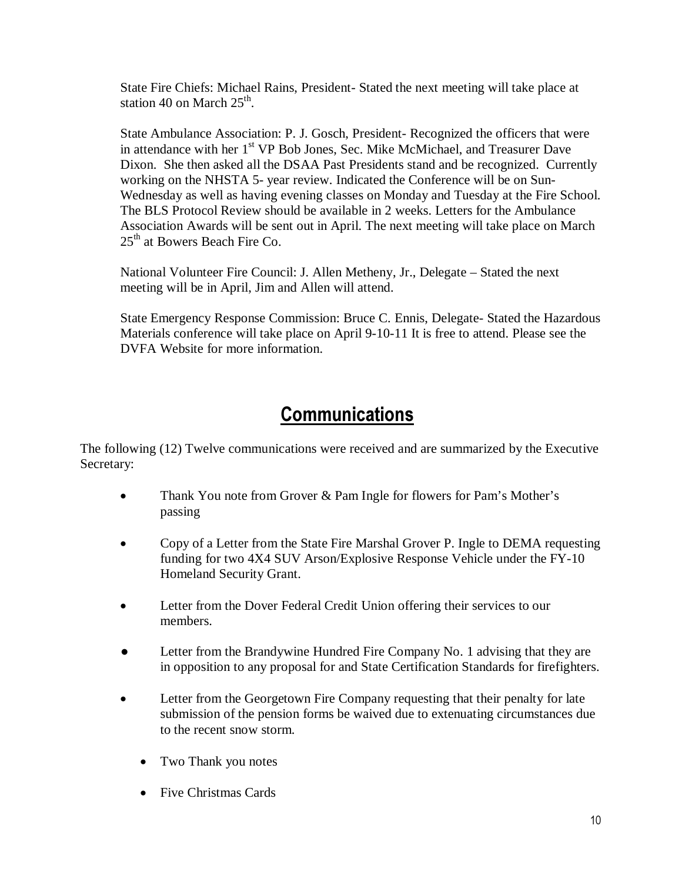State Fire Chiefs: Michael Rains, President- Stated the next meeting will take place at station 40 on March  $25<sup>th</sup>$ .

State Ambulance Association: P. J. Gosch, President- Recognized the officers that were in attendance with her  $1<sup>st</sup>$  VP Bob Jones, Sec. Mike McMichael, and Treasurer Dave Dixon. She then asked all the DSAA Past Presidents stand and be recognized. Currently working on the NHSTA 5- year review. Indicated the Conference will be on Sun-Wednesday as well as having evening classes on Monday and Tuesday at the Fire School. The BLS Protocol Review should be available in 2 weeks. Letters for the Ambulance Association Awards will be sent out in April. The next meeting will take place on March 25<sup>th</sup> at Bowers Beach Fire Co.

National Volunteer Fire Council: J. Allen Metheny, Jr., Delegate – Stated the next meeting will be in April, Jim and Allen will attend.

State Emergency Response Commission: Bruce C. Ennis, Delegate- Stated the Hazardous Materials conference will take place on April 9-10-11 It is free to attend. Please see the DVFA Website for more information.

# **Communications**

The following (12) Twelve communications were received and are summarized by the Executive Secretary:

- Thank You note from Grover & Pam Ingle for flowers for Pam's Mother's passing
- Copy of a Letter from the State Fire Marshal Grover P. Ingle to DEMA requesting funding for two 4X4 SUV Arson/Explosive Response Vehicle under the FY-10 Homeland Security Grant.
- Letter from the Dover Federal Credit Union offering their services to our members.
- Letter from the Brandywine Hundred Fire Company No. 1 advising that they are in opposition to any proposal for and State Certification Standards for firefighters.
- Letter from the Georgetown Fire Company requesting that their penalty for late submission of the pension forms be waived due to extenuating circumstances due to the recent snow storm.
	- Two Thank you notes
	- Five Christmas Cards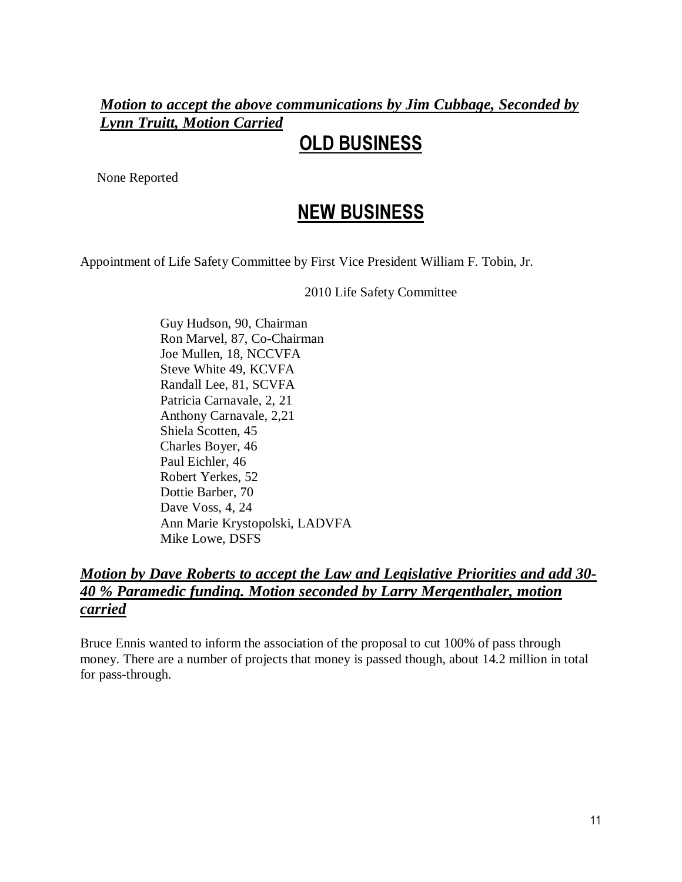### *Motion to accept the above communications by Jim Cubbage, Seconded by Lynn Truitt, Motion Carried*

# OLD BUSINESS

None Reported

# NEW BUSINESS

Appointment of Life Safety Committee by First Vice President William F. Tobin, Jr.

2010 Life Safety Committee

Guy Hudson, 90, Chairman Ron Marvel, 87, Co-Chairman Joe Mullen, 18, NCCVFA Steve White 49, KCVFA Randall Lee, 81, SCVFA Patricia Carnavale, 2, 21 Anthony Carnavale, 2,21 Shiela Scotten, 45 Charles Boyer, 46 Paul Eichler, 46 Robert Yerkes, 52 Dottie Barber, 70 Dave Voss, 4, 24 Ann Marie Krystopolski, LADVFA Mike Lowe, DSFS

### *Motion by Dave Roberts to accept the Law and Legislative Priorities and add 30- 40 % Paramedic funding. Motion seconded by Larry Mergenthaler, motion carried*

Bruce Ennis wanted to inform the association of the proposal to cut 100% of pass through money. There are a number of projects that money is passed though, about 14.2 million in total for pass-through.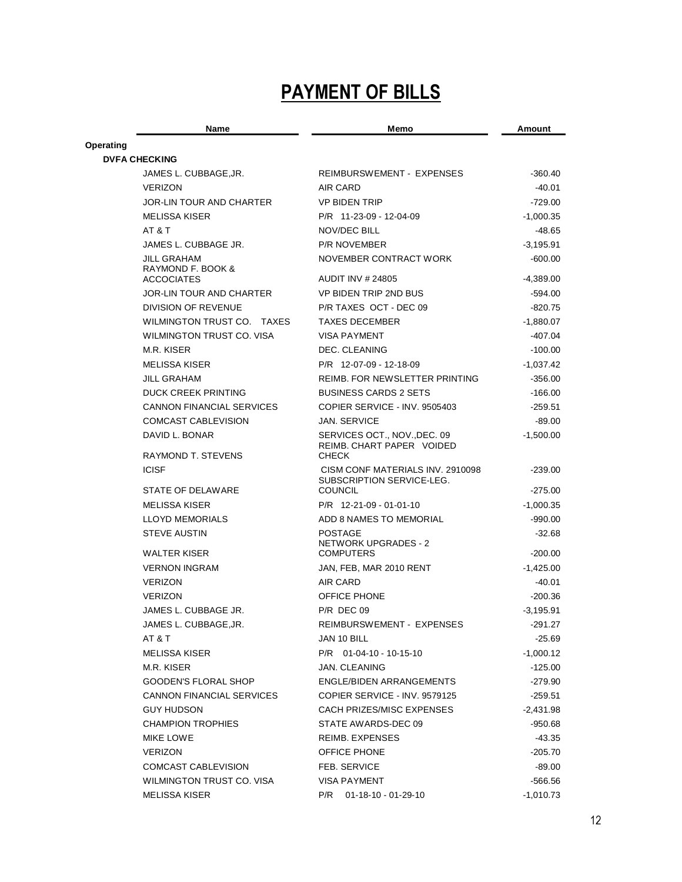# PAYMENT OF BILLS

|           | Name                                        | Memo                                                                          | Amount      |
|-----------|---------------------------------------------|-------------------------------------------------------------------------------|-------------|
| Operating |                                             |                                                                               |             |
|           | <b>DVFA CHECKING</b>                        |                                                                               |             |
|           | JAMES L. CUBBAGE, JR.                       | REIMBURSWEMENT - EXPENSES                                                     | $-360.40$   |
|           | <b>VERIZON</b>                              | AIR CARD                                                                      | -40.01      |
|           | JOR-LIN TOUR AND CHARTER                    | <b>VP BIDEN TRIP</b>                                                          | $-729.00$   |
|           | <b>MELISSA KISER</b>                        | P/R 11-23-09 - 12-04-09                                                       | $-1,000.35$ |
|           | AT & T                                      | <b>NOV/DEC BILL</b>                                                           | $-48.65$    |
|           | JAMES L. CUBBAGE JR.                        | <b>P/R NOVEMBER</b>                                                           | $-3,195.91$ |
|           | JILL GRAHAM<br>RAYMOND F. BOOK &            | NOVEMBER CONTRACT WORK                                                        | $-600.00$   |
|           | <b>ACCOCIATES</b>                           | <b>AUDIT INV # 24805</b>                                                      | $-4,389.00$ |
|           | JOR-LIN TOUR AND CHARTER                    | VP BIDEN TRIP 2ND BUS                                                         | -594.00     |
|           | DIVISION OF REVENUE                         | P/R TAXES OCT - DEC 09                                                        | $-820.75$   |
|           | WILMINGTON TRUST CO. TAXES                  | <b>TAXES DECEMBER</b>                                                         | $-1,880.07$ |
|           | WILMINGTON TRUST CO. VISA                   | <b>VISA PAYMENT</b>                                                           | $-407.04$   |
|           | M.R. KISER                                  | DEC. CLEANING                                                                 | $-100.00$   |
|           | <b>MELISSA KISER</b>                        | P/R 12-07-09 - 12-18-09                                                       | $-1,037.42$ |
|           | <b>JILL GRAHAM</b>                          | REIMB. FOR NEW SLETTER PRINTING                                               | $-356.00$   |
|           | <b>DUCK CREEK PRINTING</b>                  | <b>BUSINESS CARDS 2 SETS</b>                                                  | $-166.00$   |
|           | <b>CANNON FINANCIAL SERVICES</b>            | COPIER SERVICE - INV. 9505403                                                 | $-259.51$   |
|           | <b>COMCAST CABLEVISION</b>                  | <b>JAN. SERVICE</b>                                                           | $-89.00$    |
|           | DAVID L. BONAR<br><b>RAYMOND T. STEVENS</b> | SERVICES OCT., NOV., DEC. 09<br>REIMB. CHART PAPER VOIDED                     | $-1,500.00$ |
|           | <b>ICISF</b>                                | <b>CHECK</b><br>CISM CONF MATERIALS INV. 2910098<br>SUBSCRIPTION SERVICE-LEG. | $-239.00$   |
|           | STATE OF DELAWARE                           | <b>COUNCIL</b>                                                                | $-275.00$   |
|           | <b>MELISSA KISER</b>                        | $P/R$ 12-21-09 - 01-01-10                                                     | $-1,000.35$ |
|           | <b>LLOYD MEMORIALS</b>                      | ADD 8 NAMES TO MEMORIAL                                                       | $-990.00$   |
|           | <b>STEVE AUSTIN</b>                         | <b>POSTAGE</b><br><b>NETWORK UPGRADES - 2</b>                                 | $-32.68$    |
|           | <b>WALTER KISER</b>                         | <b>COMPUTERS</b>                                                              | $-200.00$   |
|           | <b>VERNON INGRAM</b>                        | JAN, FEB, MAR 2010 RENT                                                       | $-1,425.00$ |
|           | <b>VERIZON</b>                              | AIR CARD                                                                      | -40.01      |
|           | <b>VERIZON</b>                              | <b>OFFICE PHONE</b>                                                           | -200.36     |
|           | JAMES L. CUBBAGE JR.                        | <b>P/R DEC 09</b>                                                             | $-3,195.91$ |
|           | JAMES L. CUBBAGE, JR.                       | REIMBURSWEMENT - EXPENSES                                                     | -291.27     |
|           | AT & T                                      | JAN 10 BILL                                                                   | $-25.69$    |
|           | <b>MELISSA KISER</b>                        | $P/R$ 01-04-10 - 10-15-10                                                     | $-1,000.12$ |
|           | M.R. KISER                                  | JAN. CLEANING                                                                 | $-125.00$   |
|           | GOODEN'S FLORAL SHOP                        | ENGLE/BIDEN ARRANGEMENTS                                                      | -279.90     |
|           | <b>CANNON FINANCIAL SERVICES</b>            | COPIER SERVICE - INV. 9579125                                                 | $-259.51$   |
|           | <b>GUY HUDSON</b>                           | CACH PRIZES/MISC EXPENSES                                                     | $-2,431.98$ |
|           | <b>CHAMPION TROPHIES</b>                    | STATE AWARDS-DEC 09                                                           | -950.68     |
|           | MIKE LOWE                                   | REIMB. EXPENSES                                                               | -43.35      |
|           | <b>VERIZON</b>                              | OFFICE PHONE                                                                  | $-205.70$   |
|           | COMCAST CABLEVISION                         | FEB. SERVICE                                                                  | $-89.00$    |
|           | WILMINGTON TRUST CO. VISA                   | VISA PAYMENT                                                                  | -566.56     |
|           | <b>MELISSA KISER</b>                        | $01 - 18 - 10 - 01 - 29 - 10$<br>P/R                                          | $-1,010.73$ |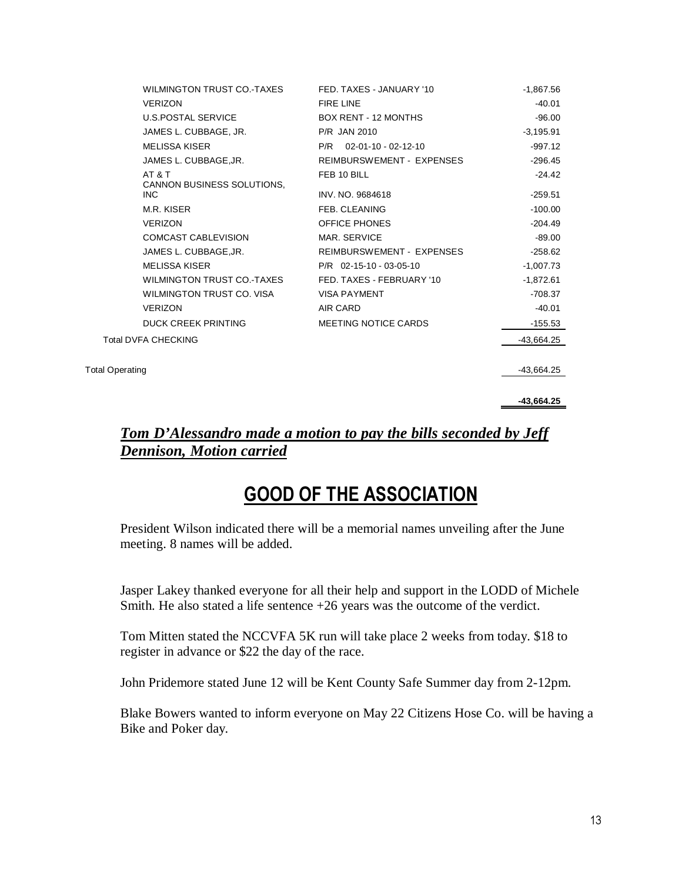| WILMINGTON TRUST CO.-TAXES                  | FED. TAXES - JANUARY '10    | $-1,867.56$  |
|---------------------------------------------|-----------------------------|--------------|
| <b>VERIZON</b>                              | <b>FIRE LINE</b>            | $-40.01$     |
| <b>U.S.POSTAL SERVICE</b>                   | <b>BOX RENT - 12 MONTHS</b> | $-96.00$     |
| JAMES L. CUBBAGE, JR.                       | <b>P/R JAN 2010</b>         | $-3,195.91$  |
| <b>MELISSA KISER</b>                        | $P/R$ 02-01-10 - 02-12-10   | $-997.12$    |
| JAMES L. CUBBAGE, JR.                       | REIMBURSWEMENT - EXPENSES   | $-296.45$    |
| AT & T<br><b>CANNON BUSINESS SOLUTIONS.</b> | FEB 10 BILL                 | $-24.42$     |
| INC.                                        | INV. NO. 9684618            | $-259.51$    |
| M.R. KISER                                  | FEB. CLEANING               | $-100.00$    |
| <b>VERIZON</b>                              | <b>OFFICE PHONES</b>        | $-204.49$    |
| COMCAST CABLEVISION                         | MAR. SERVICE                | $-89.00$     |
| JAMES L. CUBBAGE, JR.                       | REIMBURSWEMENT - EXPENSES   | $-258.62$    |
| <b>MELISSA KISER</b>                        | P/R 02-15-10 - 03-05-10     | $-1,007.73$  |
| WILMINGTON TRUST CO.-TAXES                  | FED. TAXES - FEBRUARY '10   | $-1,872.61$  |
| WILMINGTON TRUST CO. VISA                   | <b>VISA PAYMENT</b>         | $-708.37$    |
| <b>VERIZON</b>                              | AIR CARD                    | $-40.01$     |
| <b>DUCK CREEK PRINTING</b>                  | MEETING NOTICE CARDS        | $-155.53$    |
| <b>Total DVFA CHECKING</b>                  |                             | $-43,664.25$ |
|                                             |                             |              |

Total Operating -43,664.25

 **-43,664.25** 

#### *Tom D'Alessandro made a motion to pay the bills seconded by Jeff Dennison, Motion carried*

### GOOD OF THE ASSOCIATION

President Wilson indicated there will be a memorial names unveiling after the June meeting. 8 names will be added.

Jasper Lakey thanked everyone for all their help and support in the LODD of Michele Smith. He also stated a life sentence +26 years was the outcome of the verdict.

Tom Mitten stated the NCCVFA 5K run will take place 2 weeks from today. \$18 to register in advance or \$22 the day of the race.

John Pridemore stated June 12 will be Kent County Safe Summer day from 2-12pm.

Blake Bowers wanted to inform everyone on May 22 Citizens Hose Co. will be having a Bike and Poker day.